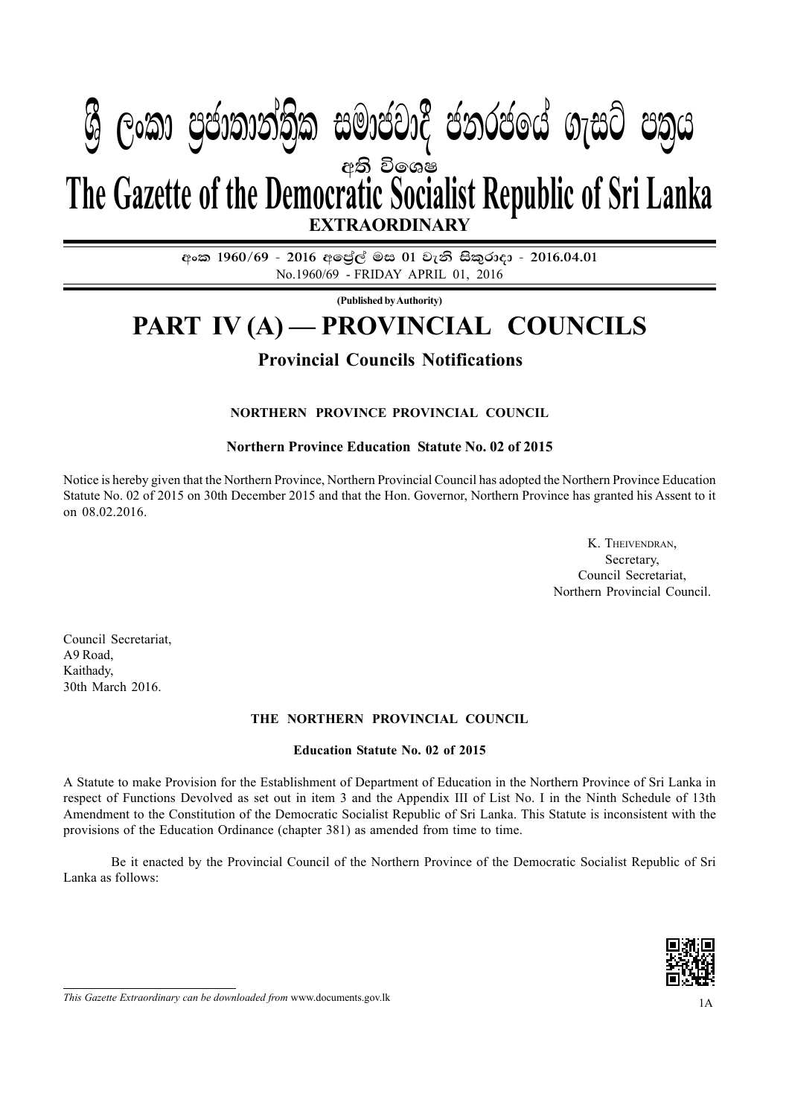## IV (**w**) **jeks fldgi** — **Y%S ,xld m %cd;dk a; s %l iudcjd§ ckrcfh a w; s úfYI .eiÜ m; %h - 2016'04'01** 1A PART PROGRAMARY PROJABLA PRACTIC GAPACI PRO අති වි**ඉශ**ෂ **EXTRAORDINARY The Gazette of the Democratic Socialist Republic of Sri Lanka**  $\mathcal{Y}$  ලංකා ප්යාතාතාත්ක සුඛායයේ යනුවයයෙ බැසුර යන්ෆ

අංක 1960/69 - 2016 අලේල් මස 01 වැනි සිකුරාදා - 2016.04.01 No.1960/69 - FRIDAY APRIL 01, 2016

**(Published by Authority)**

# **PART IV (A) — PROVINCIAL COUNCILS**

### **Provincial Councils Notifications**

#### **NORTHERN PROVINCE PROVINCIAL COUNCIL**

**Northern Province Education Statute No. 02 of 2015**

Notice is hereby given that the Northern Province, Northern Provincial Council has adopted the Northern Province Education Statute No. 02 of 2015 on 30th December 2015 and that the Hon. Governor, Northern Province has granted his Assent to it on 08.02.2016.

> K. THEIVENDRAN, Secretary, Council Secretariat, Northern Provincial Council.

Council Secretariat, A9 Road, Kaithady, 30th March 2016.

#### **THE NORTHERN PROVINCIAL COUNCIL**

#### **Education Statute No. 02 of 2015**

A Statute to make Provision for the Establishment of Department of Education in the Northern Province of Sri Lanka in respect of Functions Devolved as set out in item 3 and the Appendix III of List No. I in the Ninth Schedule of 13th Amendment to the Constitution of the Democratic Socialist Republic of Sri Lanka. This Statute is inconsistent with the provisions of the Education Ordinance (chapter 381) as amended from time to time.

Be it enacted by the Provincial Council of the Northern Province of the Democratic Socialist Republic of Sri Lanka as follows:



*This Gazette Extraordinary can be downloaded from www.documents.gov.lk* 1A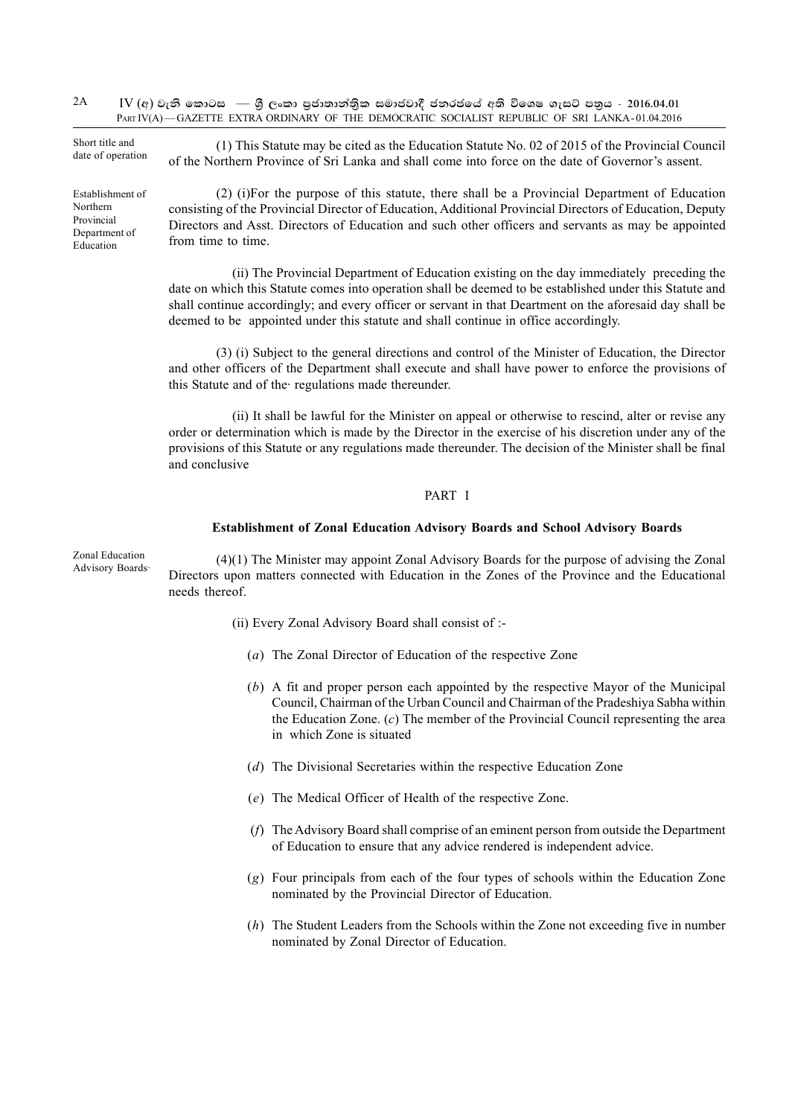$\text{IV}$  (අ) වැනි කොටස — ශීු ලංකා පුජාතාන්තික සමාජවාදී ජනරජයේ අති විශෙෂ ගැසට් පතුය - 2016.04.01 PART IV(A) - GAZETTE EXTRA ORDINARY OF THE DEMOCRATIC SOCIALIST REPUBLIC OF SRI LANKA-01.04.2016 2A

Short title and date of operation

Establishment of Northern Provincial Department of Education

(1) This Statute may be cited as the Education Statute No. 02 of 2015 of the Provincial Council of the Northern Province of Sri Lanka and shall come into force on the date of Governor's assent.

(2) (i)For the purpose of this statute, there shall be a Provincial Department of Education consisting of the Provincial Director of Education, Additional Provincial Directors of Education, Deputy Directors and Asst. Directors of Education and such other officers and servants as may be appointed from time to time.

(ii) The Provincial Department of Education existing on the day immediately preceding the date on which this Statute comes into operation shall be deemed to be established under this Statute and shall continue accordingly; and every officer or servant in that Deartment on the aforesaid day shall be deemed to be appointed under this statute and shall continue in office accordingly.

(3) (i) Subject to the general directions and control of the Minister of Education, the Director and other officers of the Department shall execute and shall have power to enforce the provisions of this Statute and of the· regulations made thereunder.

(ii) It shall be lawful for the Minister on appeal or otherwise to rescind, alter or revise any order or determination which is made by the Director in the exercise of his discretion under any of the provisions of this Statute or any regulations made thereunder. The decision of the Minister shall be final and conclusive

#### PART I

#### **Establishment of Zonal Education Advisory Boards and School Advisory Boards**

Zonal Education Advisory Boards·

(4)(1) The Minister may appoint Zonal Advisory Boards for the purpose of advising the Zonal Directors upon matters connected with Education in the Zones of the Province and the Educational needs thereof.

- (ii) Every Zonal Advisory Board shall consist of :-
	- (*a*) The Zonal Director of Education of the respective Zone
	- (*b*) A fit and proper person each appointed by the respective Mayor of the Municipal Council, Chairman of the Urban Council and Chairman of the Pradeshiya Sabha within the Education Zone. (*c*) The member of the Provincial Council representing the area in which Zone is situated
	- (*d*) The Divisional Secretaries within the respective Education Zone
	- (*e*) The Medical Officer of Health of the respective Zone.
	- (*f*) The Advisory Board shall comprise of an eminent person from outside the Department of Education to ensure that any advice rendered is independent advice.
	- (*g*) Four principals from each of the four types of schools within the Education Zone nominated by the Provincial Director of Education.
	- (*h*) The Student Leaders from the Schools within the Zone not exceeding five in number nominated by Zonal Director of Education.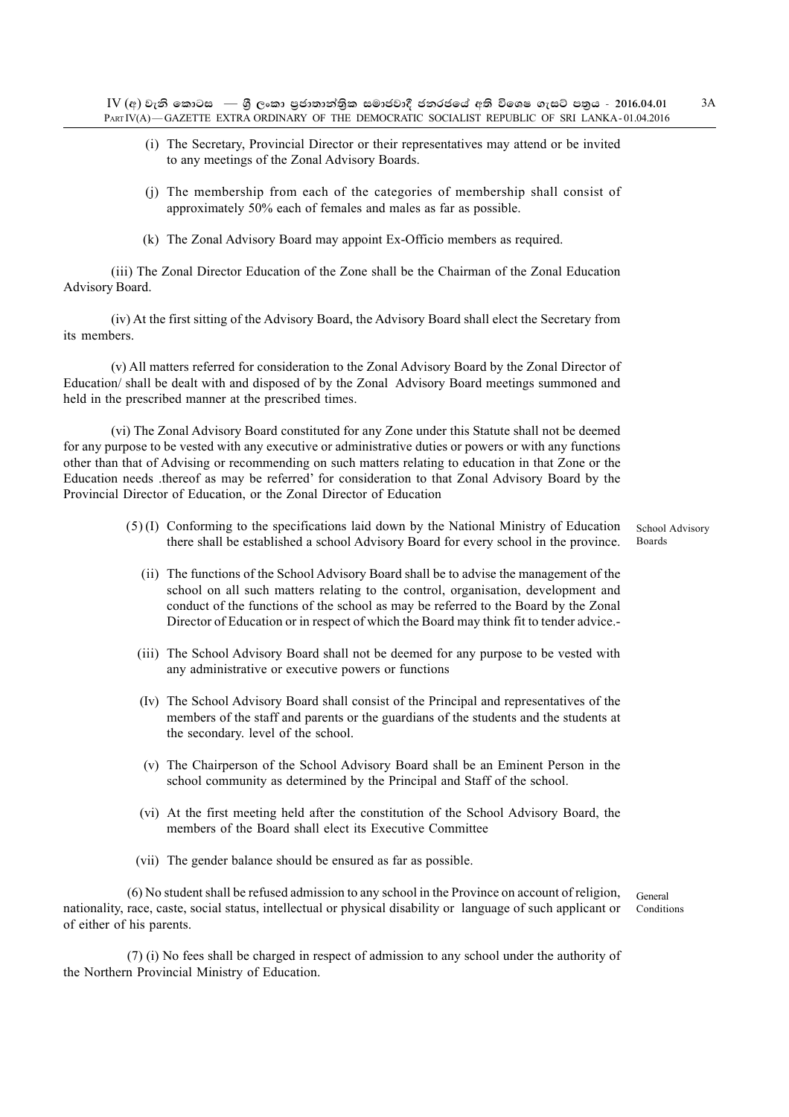- (i) The Secretary, Provincial Director or their representatives may attend or be invited to any meetings of the Zonal Advisory Boards.
- (j) The membership from each of the categories of membership shall consist of approximately 50% each of females and males as far as possible.
- (k) The Zonal Advisory Board may appoint Ex-Officio members as required.

(iii) The Zonal Director Education of the Zone shall be the Chairman of the Zonal Education Advisory Board.

(iv) At the first sitting of the Advisory Board, the Advisory Board shall elect the Secretary from its members.

(v) All matters referred for consideration to the Zonal Advisory Board by the Zonal Director of Education/ shall be dealt with and disposed of by the Zonal Advisory Board meetings summoned and held in the prescribed manner at the prescribed times.

(vi) The Zonal Advisory Board constituted for any Zone under this Statute shall not be deemed for any purpose to be vested with any executive or administrative duties or powers or with any functions other than that of Advising or recommending on such matters relating to education in that Zone or the Education needs .thereof as may be referred' for consideration to that Zonal Advisory Board by the Provincial Director of Education, or the Zonal Director of Education

> (5) (I) Conforming to the specifications laid down by the National Ministry of Education there shall be established a school Advisory Board for every school in the province. Boards

School Advisory

- (ii) The functions of the School Advisory Board shall be to advise the management of the school on all such matters relating to the control, organisation, development and conduct of the functions of the school as may be referred to the Board by the Zonal Director of Education or in respect of which the Board may think fit to tender advice.-
- (iii) The School Advisory Board shall not be deemed for any purpose to be vested with any administrative or executive powers or functions
- (Iv) The School Advisory Board shall consist of the Principal and representatives of the members of the staff and parents or the guardians of the students and the students at the secondary. level of the school.
- (v) The Chairperson of the School Advisory Board shall be an Eminent Person in the school community as determined by the Principal and Staff of the school.
- (vi) At the first meeting held after the constitution of the School Advisory Board, the members of the Board shall elect its Executive Committee
- (vii) The gender balance should be ensured as far as possible.

(6) No student shall be refused admission to any school in the Province on account of religion, nationality, race, caste, social status, intellectual or physical disability or language of such applicant or of either of his parents.

General Conditions

(7) (i) No fees shall be charged in respect of admission to any school under the authority of the Northern Provincial Ministry of Education.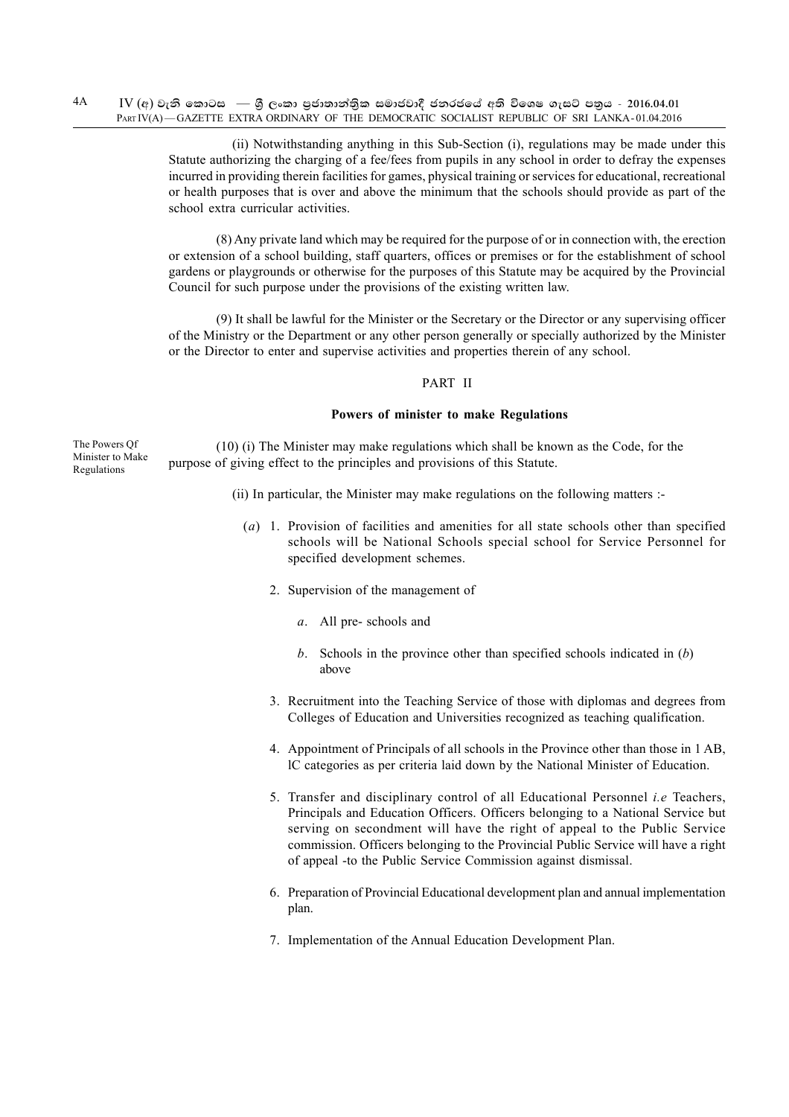$IV$  (අ) වැනි කොටස — ශී ලංකා පුජාතාන්තික සමාජවාදී ජනරජයේ අති විශෙෂ ගැසට් පතුය - 2016.04.01 PART IV(A) - GAZETTE EXTRA ORDINARY OF THE DEMOCRATIC SOCIALIST REPUBLIC OF SRI LANKA-01.04.2016 4A

> (ii) Notwithstanding anything in this Sub-Section (i), regulations may be made under this Statute authorizing the charging of a fee/fees from pupils in any school in order to defray the expenses incurred in providing therein facilities for games, physical training or services for educational, recreational or health purposes that is over and above the minimum that the schools should provide as part of the school extra curricular activities.

> (8) Any private land which may be required for the purpose of or in connection with, the erection or extension of a school building, staff quarters, offices or premises or for the establishment of school gardens or playgrounds or otherwise for the purposes of this Statute may be acquired by the Provincial Council for such purpose under the provisions of the existing written law.

> (9) It shall be lawful for the Minister or the Secretary or the Director or any supervising officer of the Ministry or the Department or any other person generally or specially authorized by the Minister or the Director to enter and supervise activities and properties therein of any school.

#### PART II

#### **Powers of minister to make Regulations**

The Powers Qf Minister to Make Regulations

(10) (i) The Minister may make regulations which shall be known as the Code, for the purpose of giving effect to the principles and provisions of this Statute.

- (ii) In particular, the Minister may make regulations on the following matters :-
	- (*a*) 1. Provision of facilities and amenities for all state schools other than specified schools will be National Schools special school for Service Personnel for specified development schemes.
		- 2. Supervision of the management of
			- *a*. All pre- schools and
			- *b*. Schools in the province other than specified schools indicated in (*b*) above
		- 3. Recruitment into the Teaching Service of those with diplomas and degrees from Colleges of Education and Universities recognized as teaching qualification.
		- 4. Appointment of Principals of all schools in the Province other than those in 1 AB, lC categories as per criteria laid down by the National Minister of Education.
		- 5. Transfer and disciplinary control of all Educational Personnel *i.e* Teachers, Principals and Education Officers. Officers belonging to a National Service but serving on secondment will have the right of appeal to the Public Service commission. Officers belonging to the Provincial Public Service will have a right of appeal -to the Public Service Commission against dismissal.
		- 6. Preparation of Provincial Educational development plan and annual implementation plan.
		- 7. Implementation of the Annual Education Development Plan.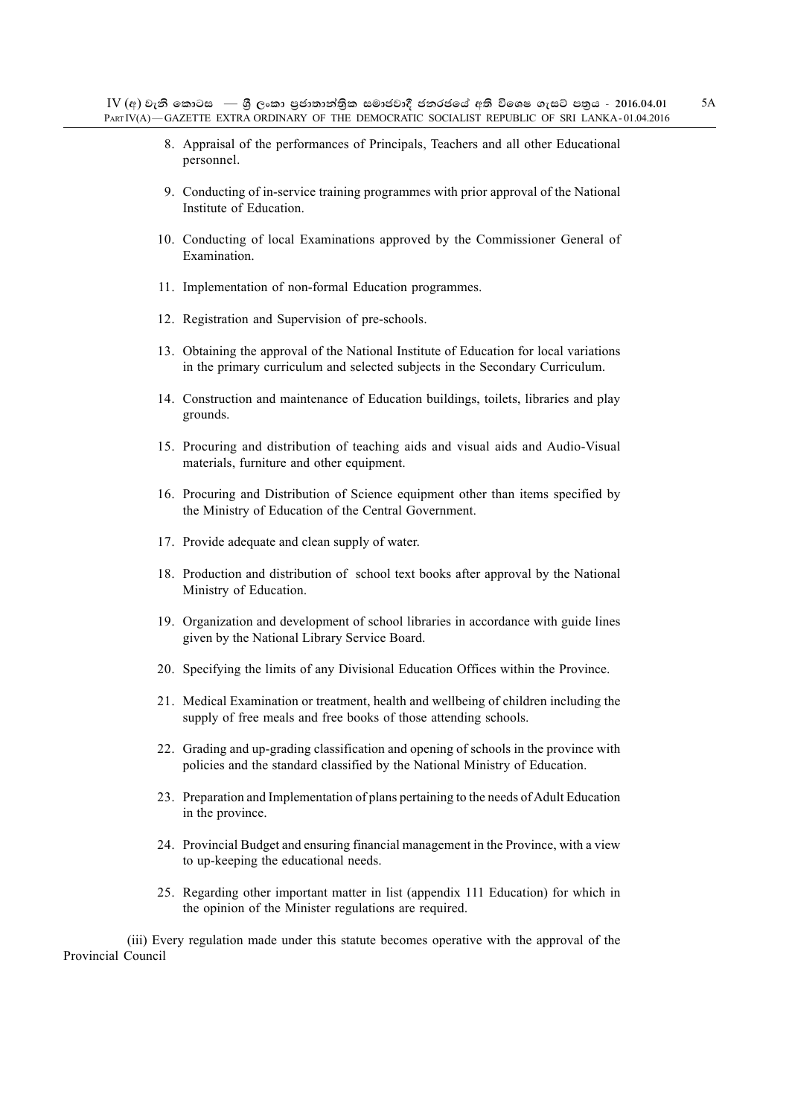- 8. Appraisal of the performances of Principals, Teachers and all other Educational personnel.
- 9. Conducting of in-service training programmes with prior approval of the National Institute of Education.
- 10. Conducting of local Examinations approved by the Commissioner General of Examination.
- 11. Implementation of non-formal Education programmes.
- 12. Registration and Supervision of pre-schools.
- 13. Obtaining the approval of the National Institute of Education for local variations in the primary curriculum and selected subjects in the Secondary Curriculum.
- 14. Construction and maintenance of Education buildings, toilets, libraries and play grounds.
- 15. Procuring and distribution of teaching aids and visual aids and Audio-Visual materials, furniture and other equipment.
- 16. Procuring and Distribution of Science equipment other than items specified by the Ministry of Education of the Central Government.
- 17. Provide adequate and clean supply of water.
- 18. Production and distribution of school text books after approval by the National Ministry of Education.
- 19. Organization and development of school libraries in accordance with guide lines given by the National Library Service Board.
- 20. Specifying the limits of any Divisional Education Offices within the Province.
- 21. Medical Examination or treatment, health and wellbeing of children including the supply of free meals and free books of those attending schools.
- 22. Grading and up-grading classification and opening of schools in the province with policies and the standard classified by the National Ministry of Education.
- 23. Preparation and Implementation of plans pertaining to the needs of Adult Education in the province.
- 24. Provincial Budget and ensuring financial management in the Province, with a view to up-keeping the educational needs.
- 25. Regarding other important matter in list (appendix 111 Education) for which in the opinion of the Minister regulations are required.

(iii) Every regulation made under this statute becomes operative with the approval of the Provincial Council